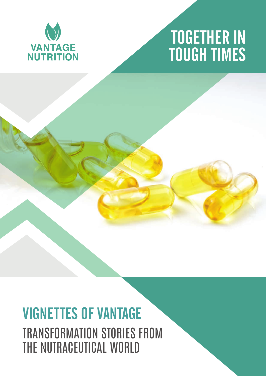

# 1 TOGETHER IN TOUGH TIMES

# VIGNETTES OF VANTAGE TRANSFORMATION STORIES FROM THE NUTRACEUTICAL WORLD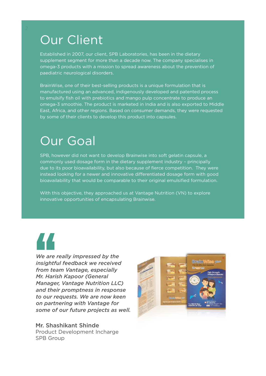### Our Client

Established in 2007, our client, SPB Laboratories, has been in the dietary supplement segment for more than a decade now. The company specialises in omega-3 products with a mission to spread awareness about the prevention of paediatric neurological disorders.

BrainWise, one of their best-selling products is a unique formulation that is manufactured using an advanced, indigenously developed and patented process to emulsify fish oil with prebiotics and mango pulp concentrate to produce an omega-3 smoothie. The product is marketed in India and is also exported to Middle East, Africa, and other regions. Based on consumer demands, they were requested by some of their clients to develop this product into capsules.

### Our Goal

SPB, however did not want to develop Brainwise into soft gelatin capsule, a commonly used dosage form in the dietary supplement industry – principally due to its poor bioavailability, but also because of fierce competition. They were instead looking for a newer and innovative differentiated dosage form with good bioavailability that would be comparable to their original emulsified formulation.

With this objective, they approached us at Vantage Nutrition (VN) to explore innovative opportunities of encapsulating Brainwise.



*We are really impressed by the insightful feedback we received from team Vantage, especially Mr. Harish Kapoor (General Manager, Vantage Nutrition LLC) and their promptness in response to our requests. We are now keen on partnering with Vantage for some of our future projects as well.* We are Insightful<br>Insightful<br>Insightful<br>Inc. Haris<br>Anangel

Mr. Shashikant Shinde Product Development Incharge SPB Group

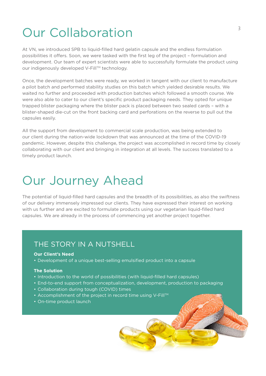## Our Collaboration

At VN, we introduced SPB to liquid-filled hard gelatin capsule and the endless formulation possibilities it offers. Soon, we were tasked with the first leg of the project – formulation and development. Our team of expert scientists were able to successfully formulate the product using our indigenously developed V-Fill™ technology.

Once, the development batches were ready, we worked in tangent with our client to manufacture a pilot batch and performed stability studies on this batch which yielded desirable results. We waited no further and proceeded with production batches which followed a smooth course. We were also able to cater to our client's specific product packaging needs. They opted for unique trapped blister packaging where the blister pack is placed between two sealed cards – with a blister-shaped die-cut on the front backing card and perforations on the reverse to pull out the capsules easily.

All the support from development to commercial scale production, was being extended to our client during the nation-wide lockdown that was announced at the time of the COVID-19 pandemic. However, despite this challenge, the project was accomplished in record time by closely collaborating with our client and bringing in integration at all levels. The success translated to a timely product launch.

### Our Journey Ahead

The potential of liquid-filled hard capsules and the breadth of its possibilities, as also the swiftness of our delivery immensely impressed our clients. They have expressed their interest on working with us further and are excited to formulate products using our vegetarian liquid-filled hard capsules. We are already in the process of commencing yet another project together.

### THE STORY IN A NUTSHELL

#### **Our Client's Need**

• Development of a unique best-selling emulsified product into a capsule

#### **The Solution**

- Introduction to the world of possibilities (with liquid-filled hard capsules)
- End-to-end support from conceptualization, development, production to packaging
- Collaboration during tough (COVID) times
- Accomplishment of the project in record time using V-Fill<sup>TM</sup>
- On-time product launch